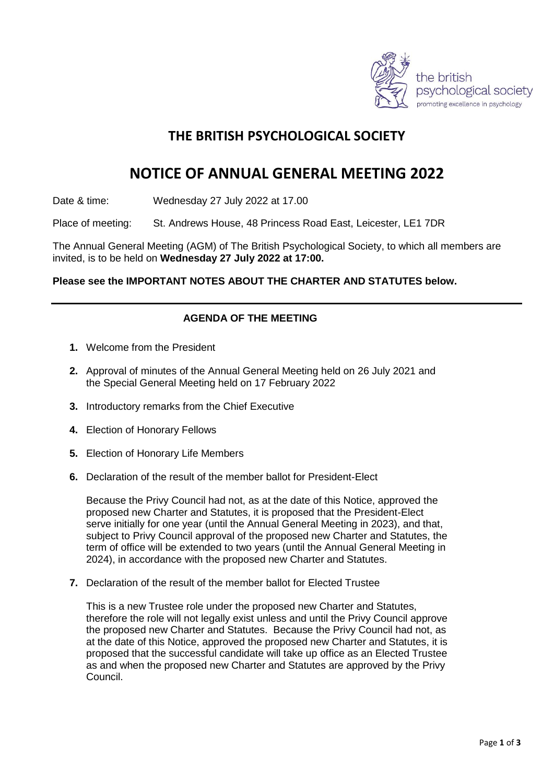

## **THE BRITISH PSYCHOLOGICAL SOCIETY**

# **NOTICE OF ANNUAL GENERAL MEETING 2022**

Date & time: Wednesday 27 July 2022 at 17.00

Place of meeting: St. Andrews House, 48 Princess Road East, Leicester, LE1 7DR

The Annual General Meeting (AGM) of The British Psychological Society, to which all members are invited, is to be held on **Wednesday 27 July 2022 at 17:00.**

#### **Please see the IMPORTANT NOTES ABOUT THE CHARTER AND STATUTES below.**

#### **AGENDA OF THE MEETING**

- **1.** Welcome from the President
- **2.** Approval of minutes of the Annual General Meeting held on 26 July 2021 and the Special General Meeting held on 17 February 2022
- **3.** Introductory remarks from the Chief Executive
- **4.** Election of Honorary Fellows
- **5.** Election of Honorary Life Members
- **6.** Declaration of the result of the member ballot for President-Elect

Because the Privy Council had not, as at the date of this Notice, approved the proposed new Charter and Statutes, it is proposed that the President-Elect serve initially for one year (until the Annual General Meeting in 2023), and that, subject to Privy Council approval of the proposed new Charter and Statutes, the term of office will be extended to two years (until the Annual General Meeting in 2024), in accordance with the proposed new Charter and Statutes.

**7.** Declaration of the result of the member ballot for Elected Trustee

This is a new Trustee role under the proposed new Charter and Statutes, therefore the role will not legally exist unless and until the Privy Council approve the proposed new Charter and Statutes. Because the Privy Council had not, as at the date of this Notice, approved the proposed new Charter and Statutes, it is proposed that the successful candidate will take up office as an Elected Trustee as and when the proposed new Charter and Statutes are approved by the Privy Council.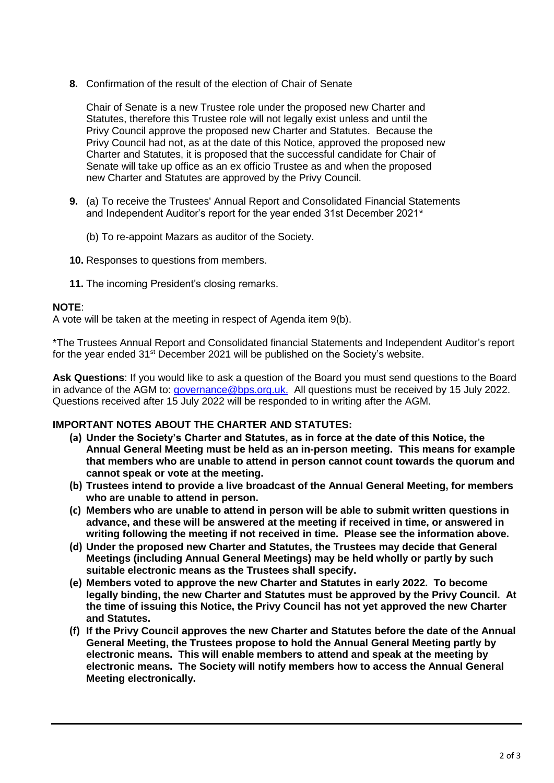**8.** Confirmation of the result of the election of Chair of Senate

Chair of Senate is a new Trustee role under the proposed new Charter and Statutes, therefore this Trustee role will not legally exist unless and until the Privy Council approve the proposed new Charter and Statutes. Because the Privy Council had not, as at the date of this Notice, approved the proposed new Charter and Statutes, it is proposed that the successful candidate for Chair of Senate will take up office as an ex officio Trustee as and when the proposed new Charter and Statutes are approved by the Privy Council.

- **9.** (a) To receive the Trustees' Annual Report and Consolidated Financial Statements and Independent Auditor's report for the year ended 31st December 2021\*
	- (b) To re-appoint Mazars as auditor of the Society.
- **10.** Responses to questions from members.
- **11.** The incoming President's closing remarks.

#### **NOTE**:

A vote will be taken at the meeting in respect of Agenda item 9(b).

\*The Trustees Annual Report and Consolidated financial Statements and Independent Auditor's report for the year ended 31<sup>st</sup> December 2021 will be published on the Society's website.

**Ask Questions**: If you would like to ask a question of the Board you must send questions to the Board in advance of the AGM to: [governance@bps.org.uk.](mailto:governance@bps.org.uk) All questions must be received by 15 July 2022. Questions received after 15 July 2022 will be responded to in writing after the AGM.

#### **IMPORTANT NOTES ABOUT THE CHARTER AND STATUTES:**

- **(a) Under the Society's Charter and Statutes, as in force at the date of this Notice, the Annual General Meeting must be held as an in-person meeting. This means for example that members who are unable to attend in person cannot count towards the quorum and cannot speak or vote at the meeting.**
- **(b) Trustees intend to provide a live broadcast of the Annual General Meeting, for members who are unable to attend in person.**
- **(c) Members who are unable to attend in person will be able to submit written questions in advance, and these will be answered at the meeting if received in time, or answered in writing following the meeting if not received in time. Please see the information above.**
- **(d) Under the proposed new Charter and Statutes, the Trustees may decide that General Meetings (including Annual General Meetings) may be held wholly or partly by such suitable electronic means as the Trustees shall specify.**
- **(e) Members voted to approve the new Charter and Statutes in early 2022. To become legally binding, the new Charter and Statutes must be approved by the Privy Council. At the time of issuing this Notice, the Privy Council has not yet approved the new Charter and Statutes.**
- **(f) If the Privy Council approves the new Charter and Statutes before the date of the Annual General Meeting, the Trustees propose to hold the Annual General Meeting partly by electronic means. This will enable members to attend and speak at the meeting by electronic means. The Society will notify members how to access the Annual General Meeting electronically.**